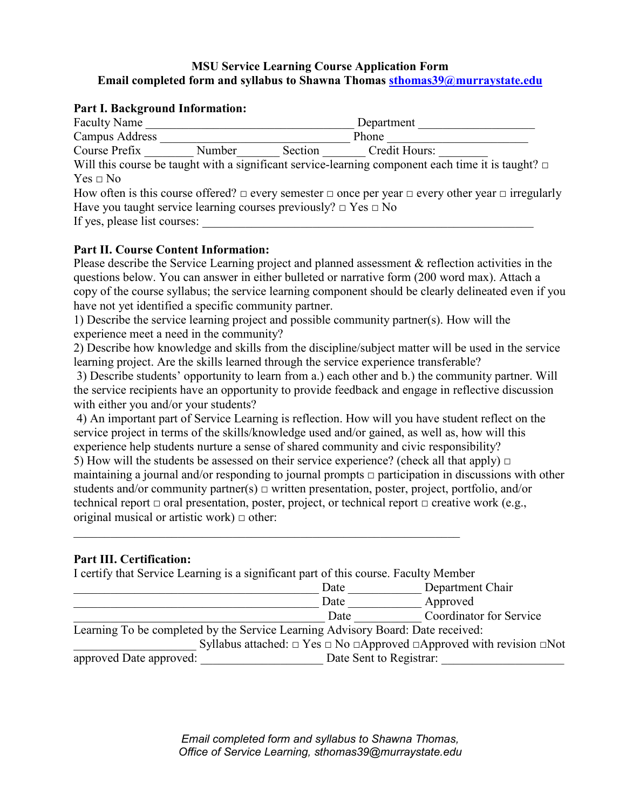## **MSU Service Learning Course Application Form Email completed form and syllabus to Shawna Thomas [sthomas39@murraystate.edu](mailto:sthomas39@murraystate.edu)**

### **Part I. Background Information:**

| <b>Faculty Name</b><br>Department                                         |        |         |                                                                                                                         |  |
|---------------------------------------------------------------------------|--------|---------|-------------------------------------------------------------------------------------------------------------------------|--|
| Campus Address                                                            |        | Phone   |                                                                                                                         |  |
| Course Prefix                                                             | Number | Section | Credit Hours:                                                                                                           |  |
|                                                                           |        |         | Will this course be taught with a significant service-learning component each time it is taught? $\Box$                 |  |
| $Yes \Box No$                                                             |        |         |                                                                                                                         |  |
|                                                                           |        |         | How often is this course offered? $\Box$ every semester $\Box$ once per year $\Box$ every other year $\Box$ irregularly |  |
| Have you taught service learning courses previously? $\Box$ Yes $\Box$ No |        |         |                                                                                                                         |  |
| If yes, please list courses:                                              |        |         |                                                                                                                         |  |
|                                                                           |        |         |                                                                                                                         |  |

### **Part II. Course Content Information:**

Please describe the Service Learning project and planned assessment & reflection activities in the questions below. You can answer in either bulleted or narrative form (200 word max). Attach a copy of the course syllabus; the service learning component should be clearly delineated even if you have not yet identified a specific community partner.

1) Describe the service learning project and possible community partner(s). How will the experience meet a need in the community?

2) Describe how knowledge and skills from the discipline/subject matter will be used in the service learning project. Are the skills learned through the service experience transferable?

3) Describe students' opportunity to learn from a.) each other and b.) the community partner. Will the service recipients have an opportunity to provide feedback and engage in reflective discussion with either you and/or your students?

4) An important part of Service Learning is reflection. How will you have student reflect on the service project in terms of the skills/knowledge used and/or gained, as well as, how will this experience help students nurture a sense of shared community and civic responsibility?

5) How will the students be assessed on their service experience? (check all that apply)  $\Box$ maintaining a journal and/or responding to journal prompts  $\Box$  participation in discussions with other students and/or community partner(s)  $\Box$  written presentation, poster, project, portfolio, and/or technical report  $\Box$  oral presentation, poster, project, or technical report  $\Box$  creative work (e.g., original musical or artistic work)  $\Box$  other:

### **Part III. Certification:**

| I certify that Service Learning is a significant part of this course. Faculty Member             |      |                                |  |  |  |
|--------------------------------------------------------------------------------------------------|------|--------------------------------|--|--|--|
|                                                                                                  | Date | Department Chair               |  |  |  |
|                                                                                                  | Date | Approved                       |  |  |  |
|                                                                                                  | Date | <b>Coordinator for Service</b> |  |  |  |
| Learning To be completed by the Service Learning Advisory Board: Date received:                  |      |                                |  |  |  |
| Syllabus attached: $\Box$ Yes $\Box$ No $\Box$ Approved $\Box$ Approved with revision $\Box$ Not |      |                                |  |  |  |
| Date Sent to Registrar:<br>approved Date approved:                                               |      |                                |  |  |  |

*Email completed form and syllabus to Shawna Thomas, Office of Service Learning, sthomas39@murraystate.edu*